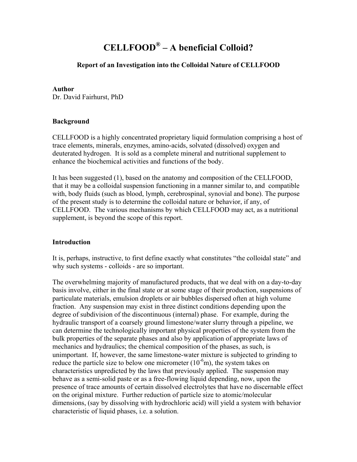# **CELLFOOD® – A beneficial Colloid?**

# **Report of an Investigation into the Colloidal Nature of CELLFOOD**

#### **Author**

Dr. David Fairhurst, PhD

## **Background**

CELLFOOD is a highly concentrated proprietary liquid formulation comprising a host of trace elements, minerals, enzymes, amino-acids, solvated (dissolved) oxygen and deuterated hydrogen. It is sold as a complete mineral and nutritional supplement to enhance the biochemical activities and functions of the body.

It has been suggested (1), based on the anatomy and composition of the CELLFOOD, that it may be a colloidal suspension functioning in a manner similar to, and compatible with, body fluids (such as blood, lymph, cerebrospinal, synovial and bone). The purpose of the present study is to determine the colloidal nature or behavior, if any, of CELLFOOD. The various mechanisms by which CELLFOOD may act, as a nutritional supplement, is beyond the scope of this report.

## **Introduction**

It is, perhaps, instructive, to first define exactly what constitutes "the colloidal state" and why such systems - colloids - are so important.

The overwhelming majority of manufactured products, that we deal with on a day-to-day basis involve, either in the final state or at some stage of their production, suspensions of particulate materials, emulsion droplets or air bubbles dispersed often at high volume fraction. Any suspension may exist in three distinct conditions depending upon the degree of subdivision of the discontinuous (internal) phase. For example, during the hydraulic transport of a coarsely ground limestone/water slurry through a pipeline, we can determine the technologically important physical properties of the system from the bulk properties of the separate phases and also by application of appropriate laws of mechanics and hydraulics; the chemical composition of the phases, as such, is unimportant. If, however, the same limestone-water mixture is subjected to grinding to reduce the particle size to below one micrometer  $(10^{-6}m)$ , the system takes on characteristics unpredicted by the laws that previously applied. The suspension may behave as a semi-solid paste or as a free-flowing liquid depending, now, upon the presence of trace amounts of certain dissolved electrolytes that have no discernable effect on the original mixture. Further reduction of particle size to atomic/molecular dimensions, (say by dissolving with hydrochloric acid) will yield a system with behavior characteristic of liquid phases, i.e. a solution.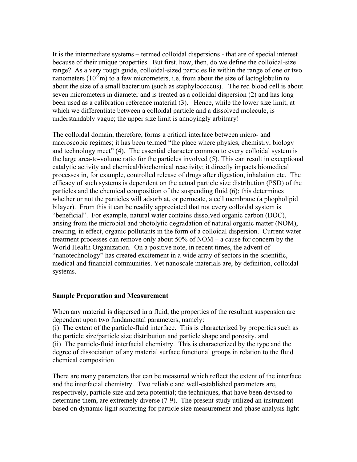It is the intermediate systems – termed colloidal dispersions - that are of special interest because of their unique properties. But first, how, then, do we define the colloidal-size range? As a very rough guide, colloidal-sized particles lie within the range of one or two nanometers ( $10^{-9}$ m) to a few micrometers, i.e. from about the size of lactoglobulin to about the size of a small bacterium (such as staphylococcus). The red blood cell is about seven micrometers in diameter and is treated as a colloidal dispersion (2) and has long been used as a calibration reference material (3). Hence, while the lower size limit, at which we differentiate between a colloidal particle and a dissolved molecule, is understandably vague; the upper size limit is annoyingly arbitrary!

The colloidal domain, therefore, forms a critical interface between micro- and macroscopic regimes; it has been termed "the place where physics, chemistry, biology and technology meet" (4). The essential character common to every colloidal system is the large area-to-volume ratio for the particles involved (5). This can result in exceptional catalytic activity and chemical/biochemical reactivity; it directly impacts biomedical processes in, for example, controlled release of drugs after digestion, inhalation etc. The efficacy of such systems is dependent on the actual particle size distribution (PSD) of the particles and the chemical composition of the suspending fluid (6); this determines whether or not the particles will adsorb at, or permeate, a cell membrane (a phopholipid bilayer). From this it can be readily appreciated that not every colloidal system is "beneficial". For example, natural water contains dissolved organic carbon (DOC), arising from the microbial and photolytic degradation of natural organic matter (NOM), creating, in effect, organic pollutants in the form of a colloidal dispersion. Current water treatment processes can remove only about 50% of NOM – a cause for concern by the World Health Organization. On a positive note, in recent times, the advent of "nanotechnology" has created excitement in a wide array of sectors in the scientific, medical and financial communities. Yet nanoscale materials are, by definition, colloidal systems.

## **Sample Preparation and Measurement**

When any material is dispersed in a fluid, the properties of the resultant suspension are dependent upon two fundamental parameters, namely:

(i) The extent of the particle-fluid interface. This is characterized by properties such as the particle size/particle size distribution and particle shape and porosity, and (ii) The particle-fluid interfacial chemistry. This is characterized by the type and the degree of dissociation of any material surface functional groups in relation to the fluid chemical composition

There are many parameters that can be measured which reflect the extent of the interface and the interfacial chemistry. Two reliable and well-established parameters are, respectively, particle size and zeta potential; the techniques, that have been devised to determine them, are extremely diverse (7-9). The present study utilized an instrument based on dynamic light scattering for particle size measurement and phase analysis light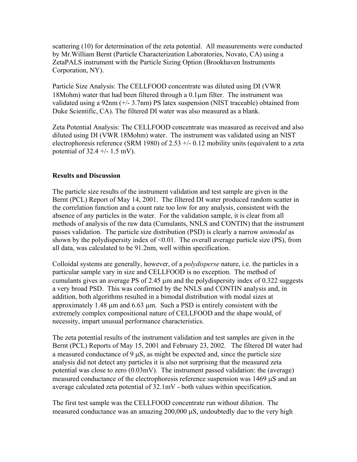scattering (10) for determination of the zeta potential. All measurements were conducted by Mr.William Bernt (Particle Characterization Laboratories, Novato, CA) using a ZetaPALS instrument with the Particle Sizing Option (Brookhaven Instruments Corporation, NY).

Particle Size Analysis: The CELLFOOD concentrate was diluted using DI (VWR 18Mohm) water that had been filtered through a 0.1µm filter. The instrument was validated using a 92nm (+/- 3.7nm) PS latex suspension (NIST traceable) obtained from Duke Scientific, CA). The filtered DI water was also measured as a blank.

Zeta Potential Analysis: The CELLFOOD concentrate was measured as received and also diluted using DI (VWR 18Mohm) water. The instrument was validated using an NIST electrophoresis reference (SRM 1980) of 2.53  $+/-$  0.12 mobility units (equivalent to a zeta potential of  $32.4 +/- 1.5$  mV).

## **Results and Discussion**

The particle size results of the instrument validation and test sample are given in the Bernt (PCL) Report of May 14, 2001. The filtered DI water produced random scatter in the correlation function and a count rate too low for any analysis, consistent with the absence of any particles in the water. For the validation sample, it is clear from all methods of analysis of the raw data (Cumulants, NNLS and CONTIN) that the instrument passes validation. The particle size distribution (PSD) is clearly a narrow *unimodal* as shown by the polydispersity index of  $\leq 0.01$ . The overall average particle size (PS), from all data, was calculated to be 91.2nm, well within specification.

Colloidal systems are generally, however, of a *polydisperse* nature, i.e. the particles in a particular sample vary in size and CELLFOOD is no exception. The method of cumulants gives an average PS of 2.45 µm and the polydispersity index of 0.322 suggests a very broad PSD. This was confirmed by the NNLS and CONTIN analysis and, in addition, both algorithms resulted in a bimodal distribution with modal sizes at approximately 1.48  $\mu$ m and 6.63  $\mu$ m. Such a PSD is entirely consistent with the extremely complex compositional nature of CELLFOOD and the shape would, of necessity, impart unusual performance characteristics.

The zeta potential results of the instrument validation and test samples are given in the Bernt (PCL) Reports of May 15, 2001 and February 23, 2002. The filtered DI water had a measured conductance of 9 µS, as might be expected and, since the particle size analysis did not detect any particles it is also not surprising that the measured zeta potential was close to zero (0.03mV). The instrument passed validation: the (average) measured conductance of the electrophoresis reference suspension was 1469 µS and an average calculated zeta potential of 32.1mV - both values within specification.

The first test sample was the CELLFOOD concentrate run without dilution. The measured conductance was an amazing  $200,000 \mu S$ , undoubtedly due to the very high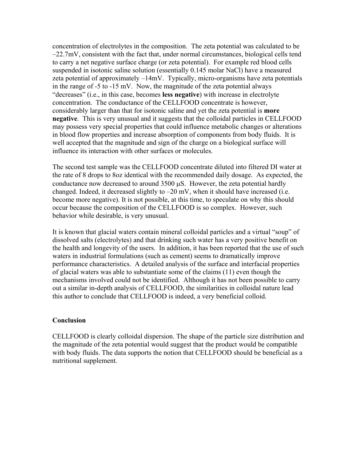concentration of electrolytes in the composition. The zeta potential was calculated to be –22.7mV, consistent with the fact that, under normal circumstances, biological cells tend to carry a net negative surface charge (or zeta potential). For example red blood cells suspended in isotonic saline solution (essentially 0.145 molar NaCl) have a measured zeta potential of approximately –14mV. Typically, micro-organisms have zeta potentials in the range of -5 to -15 mV. Now, the magnitude of the zeta potential always "decreases" (i.e., in this case, becomes **less negative**) with increase in electrolyte concentration. The conductance of the CELLFOOD concentrate is however, considerably larger than that for isotonic saline and yet the zeta potential is **more negative**. This is very unusual and it suggests that the colloidal particles in CELLFOOD may possess very special properties that could influence metabolic changes or alterations in blood flow properties and increase absorption of components from body fluids. It is well accepted that the magnitude and sign of the charge on a biological surface will influence its interaction with other surfaces or molecules.

The second test sample was the CELLFOOD concentrate diluted into filtered DI water at the rate of 8 drops to 8oz identical with the recommended daily dosage. As expected, the conductance now decreased to around  $3500 \mu S$ . However, the zeta potential hardly changed. Indeed, it decreased slightly to  $-20$  mV, when it should have increased (i.e. become more negative). It is not possible, at this time, to speculate on why this should occur because the composition of the CELLFOOD is so complex. However, such behavior while desirable, is very unusual.

It is known that glacial waters contain mineral colloidal particles and a virtual "soup" of dissolved salts (electrolytes) and that drinking such water has a very positive benefit on the health and longevity of the users. In addition, it has been reported that the use of such waters in industrial formulations (such as cement) seems to dramatically improve performance characteristics. A detailed analysis of the surface and interfacial properties of glacial waters was able to substantiate some of the claims (11) even though the mechanisms involved could not be identified. Although it has not been possible to carry out a similar in-depth analysis of CELLFOOD, the similarities in colloidal nature lead this author to conclude that CELLFOOD is indeed, a very beneficial colloid.

#### **Conclusion**

CELLFOOD is clearly colloidal dispersion. The shape of the particle size distribution and the magnitude of the zeta potential would suggest that the product would be compatible with body fluids. The data supports the notion that CELLFOOD should be beneficial as a nutritional supplement.